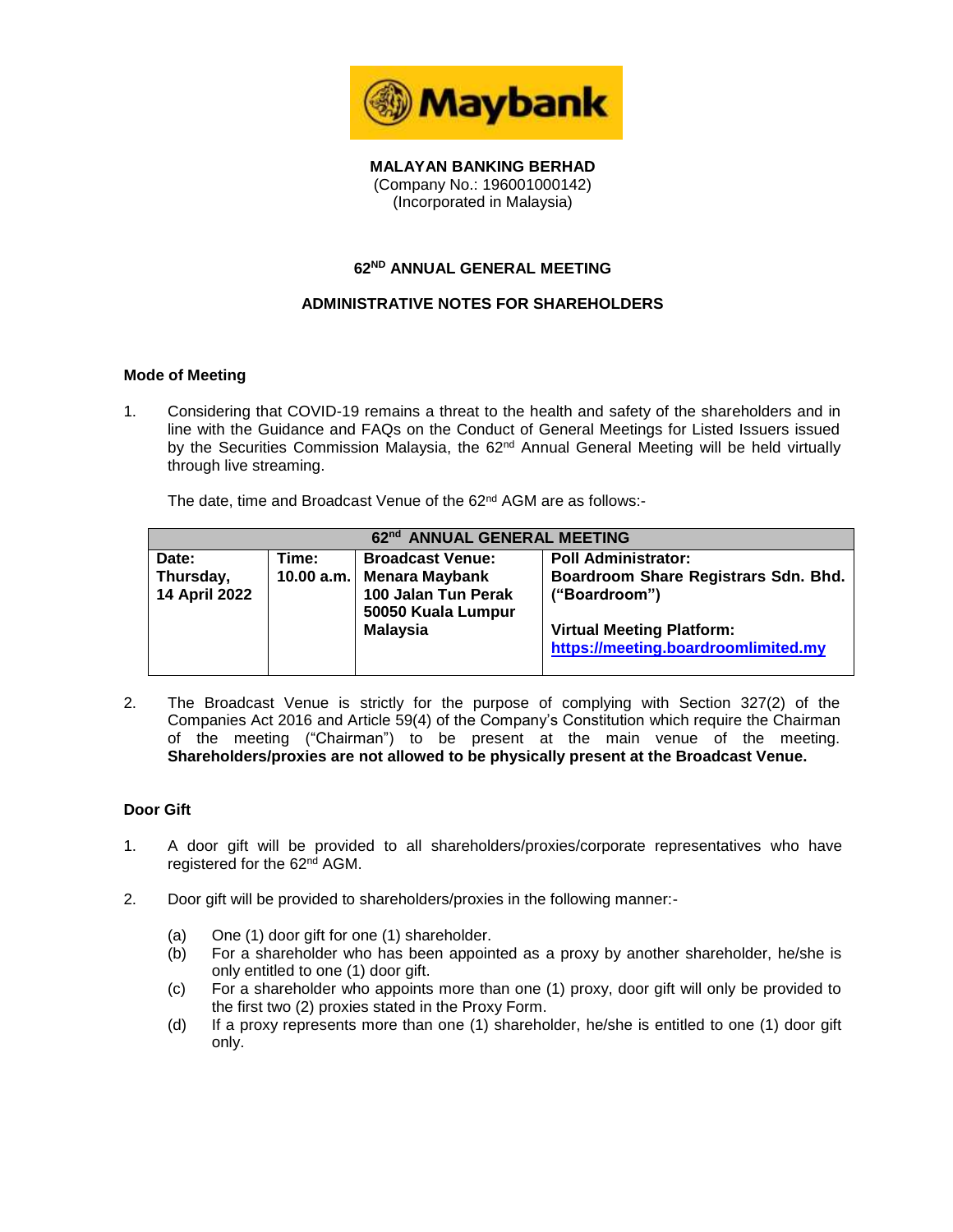

**MALAYAN BANKING BERHAD** (Company No.: 196001000142) (Incorporated in Malaysia)

## **62 ND ANNUAL GENERAL MEETING**

## **ADMINISTRATIVE NOTES FOR SHAREHOLDERS**

## **Mode of Meeting**

1. Considering that COVID-19 remains a threat to the health and safety of the shareholders and in line with the Guidance and FAQs on the Conduct of General Meetings for Listed Issuers issued by the Securities Commission Malaysia, the 62<sup>nd</sup> Annual General Meeting will be held virtually through live streaming.

The date, time and Broadcast Venue of the 62<sup>nd</sup> AGM are as follows:-

| 62nd ANNUAL GENERAL MEETING |            |                                                                    |                                                                         |  |
|-----------------------------|------------|--------------------------------------------------------------------|-------------------------------------------------------------------------|--|
| Date:                       | Time:      | <b>Broadcast Venue:</b>                                            | <b>Poll Administrator:</b>                                              |  |
| Thursday,<br>14 April 2022  | 10.00 a.m. | <b>Menara Maybank</b><br>100 Jalan Tun Perak<br>50050 Kuala Lumpur | Boardroom Share Registrars Sdn. Bhd.<br>("Boardroom")                   |  |
|                             |            | <b>Malaysia</b>                                                    | <b>Virtual Meeting Platform:</b><br>https://meeting.boardroomlimited.my |  |

2. The Broadcast Venue is strictly for the purpose of complying with Section 327(2) of the Companies Act 2016 and Article 59(4) of the Company's Constitution which require the Chairman of the meeting ("Chairman") to be present at the main venue of the meeting. **Shareholders/proxies are not allowed to be physically present at the Broadcast Venue.**

## **Door Gift**

- 1. A door gift will be provided to all shareholders/proxies/corporate representatives who have registered for the 62<sup>nd</sup> AGM.
- 2. Door gift will be provided to shareholders/proxies in the following manner:-
	- (a) One (1) door gift for one (1) shareholder.
	- (b) For a shareholder who has been appointed as a proxy by another shareholder, he/she is only entitled to one (1) door gift.
	- (c) For a shareholder who appoints more than one (1) proxy, door gift will only be provided to the first two (2) proxies stated in the Proxy Form.
	- (d) If a proxy represents more than one (1) shareholder, he/she is entitled to one (1) door gift only.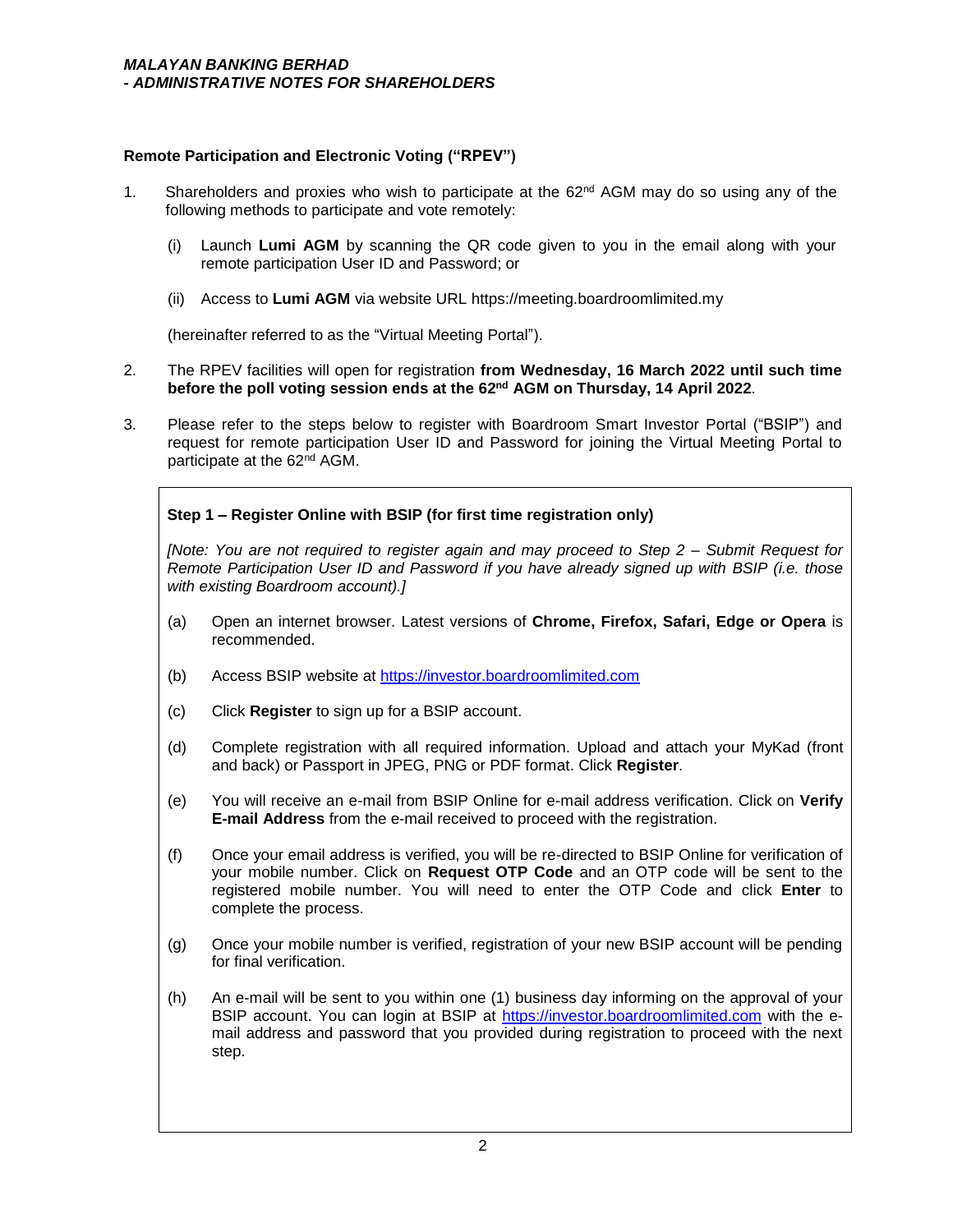## **Remote Participation and Electronic Voting ("RPEV")**

- 1. Shareholders and proxies who wish to participate at the  $62<sup>nd</sup>$  AGM may do so using any of the following methods to participate and vote remotely:
	- (i) Launch **Lumi AGM** by scanning the QR code given to you in the email along with your remote participation User ID and Password; or
	- (ii) Access to **Lumi AGM** via website URL https://meeting.boardroomlimited.my

(hereinafter referred to as the "Virtual Meeting Portal").

- 2. The RPEV facilities will open for registration **from Wednesday, 16 March 2022 until such time before the poll voting session ends at the 62 nd AGM on Thursday, 14 April 2022**.
- 3. Please refer to the steps below to register with Boardroom Smart Investor Portal ("BSIP") and request for remote participation User ID and Password for joining the Virtual Meeting Portal to participate at the 62nd AGM.

## **Step 1 – Register Online with BSIP (for first time registration only)**

*[Note: You are not required to register again and may proceed to Step 2 – Submit Request for Remote Participation User ID and Password if you have already signed up with BSIP (i.e. those with existing Boardroom account).]*

- (a) Open an internet browser. Latest versions of **Chrome, Firefox, Safari, Edge or Opera** is recommended.
- (b) Access BSIP website at https://investor.boardroomlimited.com
- (c) Click **Register** to sign up for a BSIP account.
- (d) Complete registration with all required information. Upload and attach your MyKad (front and back) or Passport in JPEG, PNG or PDF format. Click **Register**.
- (e) You will receive an e-mail from BSIP Online for e-mail address verification. Click on **Verify E-mail Address** from the e-mail received to proceed with the registration.
- (f) Once your email address is verified, you will be re-directed to BSIP Online for verification of your mobile number. Click on **Request OTP Code** and an OTP code will be sent to the registered mobile number. You will need to enter the OTP Code and click **Enter** to complete the process.
- (g) Once your mobile number is verified, registration of your new BSIP account will be pending for final verification.
- (h) An e-mail will be sent to you within one (1) business day informing on the approval of your BSIP account. You can login at BSIP at https://investor.boardroomlimited.com with the email address and password that you provided during registration to proceed with the next step.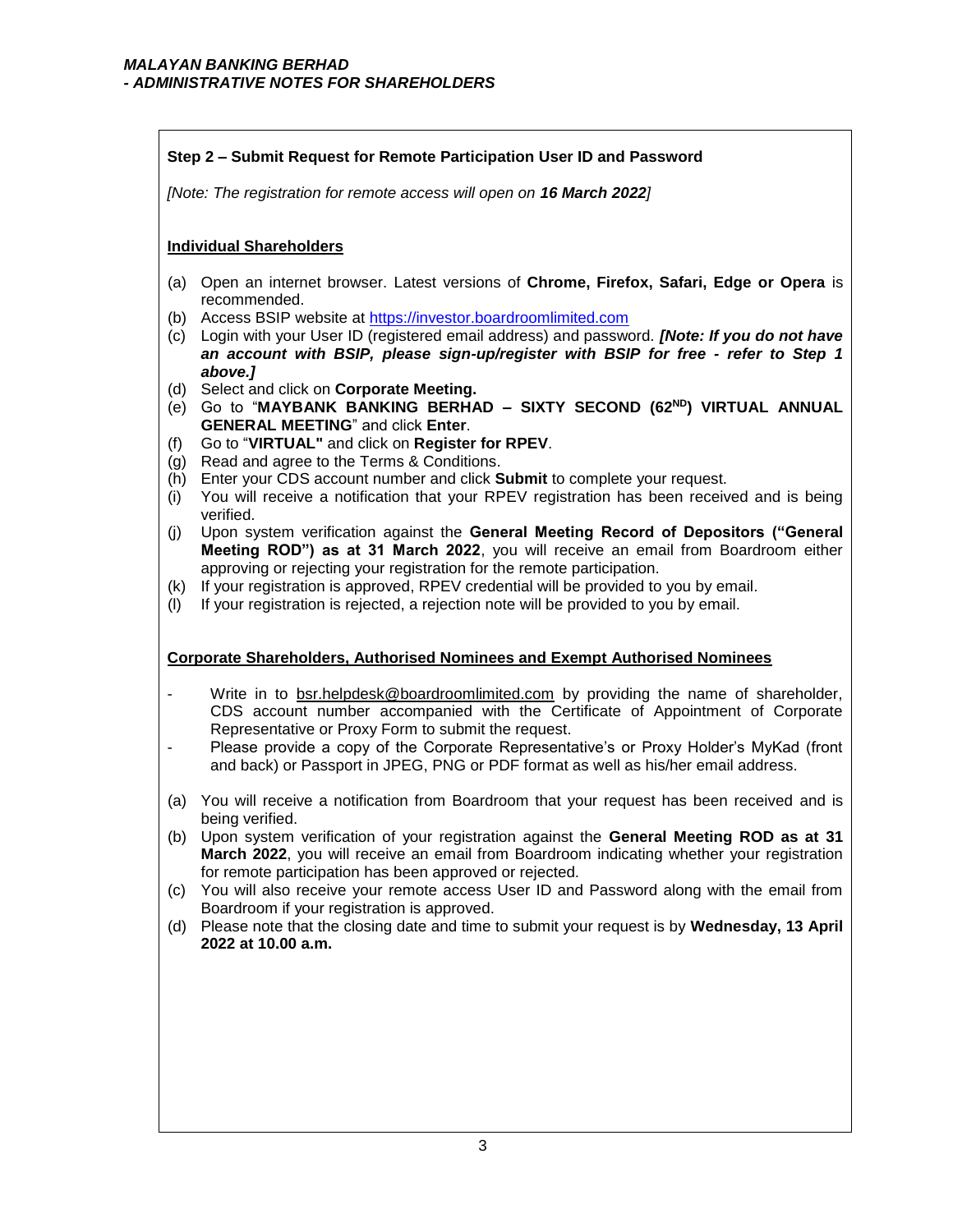## **Step 2 – Submit Request for Remote Participation User ID and Password**

*[Note: The registration for remote access will open on 16 March 2022]*

## **Individual Shareholders**

- (a) Open an internet browser. Latest versions of **Chrome, Firefox, Safari, Edge or Opera** is recommended.
- (b) Access BSIP website at https://investor.boardroomlimited.com
- (c) Login with your User ID (registered email address) and password. *[Note: If you do not have an account with BSIP, please sign-up/register with BSIP for free - refer to Step 1 above.]*
- (d) Select and click on **Corporate Meeting.**
- (e) Go to "**MAYBANK BANKING BERHAD – SIXTY SECOND (62ND) VIRTUAL ANNUAL GENERAL MEETING**" and click **Enter**.
- (f) Go to "**VIRTUAL"** and click on **Register for RPEV**.
- (g) Read and agree to the Terms & Conditions.
- (h) Enter your CDS account number and click **Submit** to complete your request.
- (i) You will receive a notification that your RPEV registration has been received and is being verified.
- (j) Upon system verification against the **General Meeting Record of Depositors ("General Meeting ROD") as at 31 March 2022**, you will receive an email from Boardroom either approving or rejecting your registration for the remote participation.
- (k) If your registration is approved, RPEV credential will be provided to you by email.
- (l) If your registration is rejected, a rejection note will be provided to you by email.

## **Corporate Shareholders, Authorised Nominees and Exempt Authorised Nominees**

- Write in to bsr.helpdesk@boardroomlimited.com by providing the name of shareholder, CDS account number accompanied with the Certificate of Appointment of Corporate Representative or Proxy Form to submit the request.
- Please provide a copy of the Corporate Representative's or Proxy Holder's MyKad (front and back) or Passport in JPEG, PNG or PDF format as well as his/her email address.
- (a) You will receive a notification from Boardroom that your request has been received and is being verified.
- (b) Upon system verification of your registration against the **General Meeting ROD as at 31 March 2022**, you will receive an email from Boardroom indicating whether your registration for remote participation has been approved or rejected.
- (c) You will also receive your remote access User ID and Password along with the email from Boardroom if your registration is approved.
- (d) Please note that the closing date and time to submit your request is by **Wednesday, 13 April 2022 at 10.00 a.m.**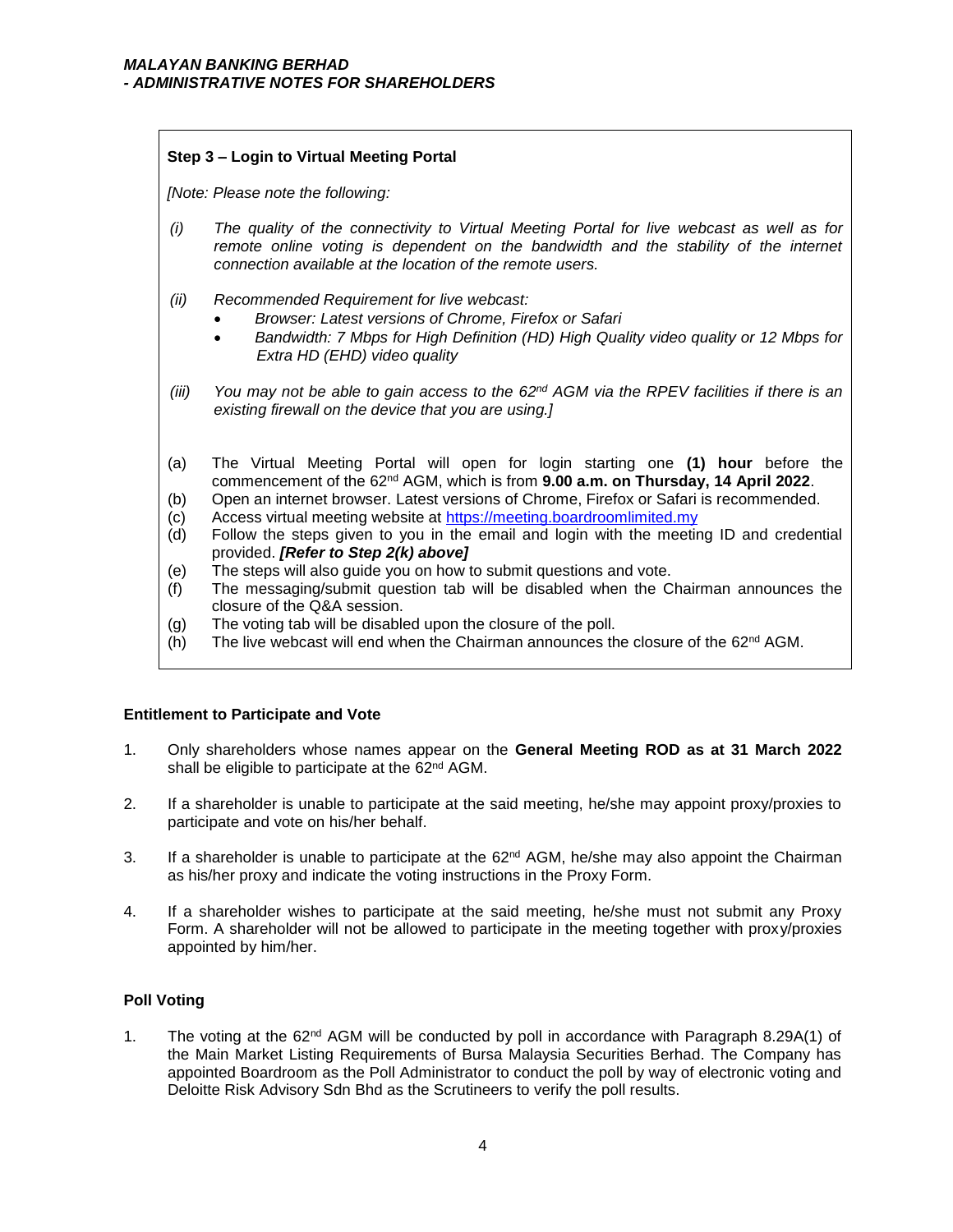## **Step 3 – Login to Virtual Meeting Portal**

*[Note: Please note the following:*

- *(i) The quality of the connectivity to Virtual Meeting Portal for live webcast as well as for remote online voting is dependent on the bandwidth and the stability of the internet connection available at the location of the remote users.*
- *(ii) Recommended Requirement for live webcast:*
	- *Browser: Latest versions of Chrome, Firefox or Safari*
	- *Bandwidth: 7 Mbps for High Definition (HD) High Quality video quality or 12 Mbps for Extra HD (EHD) video quality*
- *(iii) You may not be able to gain access to the 62nd AGM via the RPEV facilities if there is an existing firewall on the device that you are using.]*
- (a) The Virtual Meeting Portal will open for login starting one **(1) hour** before the commencement of the 62nd AGM, which is from **9.00 a.m. on Thursday, 14 April 2022**.
- (b) Open an internet browser. Latest versions of Chrome, Firefox or Safari is recommended.
- (c) Access virtual meeting website at https://meeting.boardroomlimited.my
- (d) Follow the steps given to you in the email and login with the meeting ID and credential provided. *[Refer to Step 2(k) above]*
- (e) The steps will also guide you on how to submit questions and vote.
- (f) The messaging/submit question tab will be disabled when the Chairman announces the closure of the Q&A session.
- (g) The voting tab will be disabled upon the closure of the poll.
- $(h)$  The live webcast will end when the Chairman announces the closure of the 62<sup>nd</sup> AGM.

## **Entitlement to Participate and Vote**

- 1. Only shareholders whose names appear on the **General Meeting ROD as at 31 March 2022** shall be eligible to participate at the 62<sup>nd</sup> AGM.
- 2. If a shareholder is unable to participate at the said meeting, he/she may appoint proxy/proxies to participate and vote on his/her behalf.
- 3. If a shareholder is unable to participate at the  $62<sup>nd</sup>$  AGM, he/she may also appoint the Chairman as his/her proxy and indicate the voting instructions in the Proxy Form.
- 4. If a shareholder wishes to participate at the said meeting, he/she must not submit any Proxy Form. A shareholder will not be allowed to participate in the meeting together with proxy/proxies appointed by him/her.

## **Poll Voting**

1. The voting at the  $62<sup>nd</sup>$  AGM will be conducted by poll in accordance with Paragraph 8.29A(1) of the Main Market Listing Requirements of Bursa Malaysia Securities Berhad. The Company has appointed Boardroom as the Poll Administrator to conduct the poll by way of electronic voting and Deloitte Risk Advisory Sdn Bhd as the Scrutineers to verify the poll results.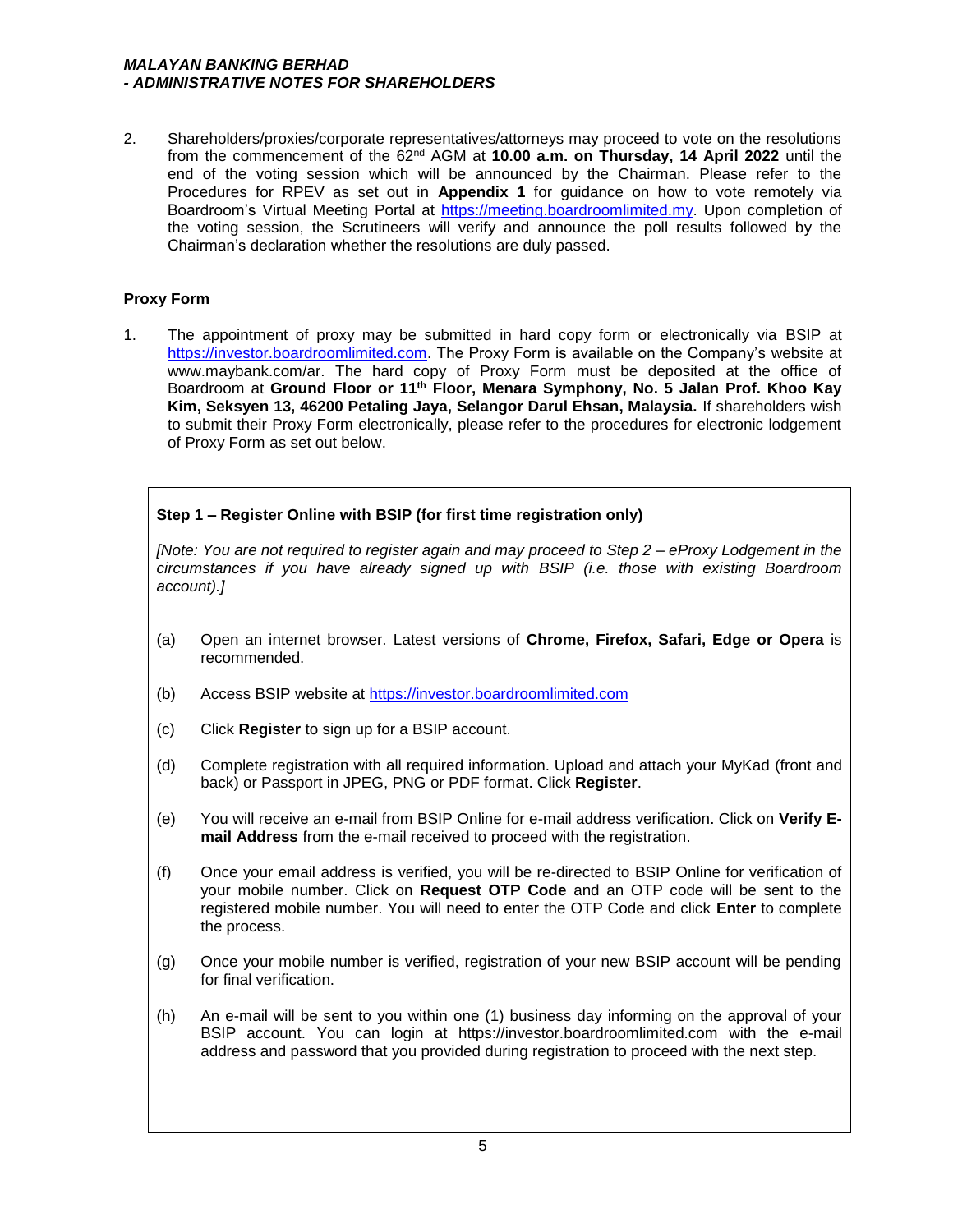## *MALAYAN BANKING BERHAD - ADMINISTRATIVE NOTES FOR SHAREHOLDERS*

2. Shareholders/proxies/corporate representatives/attorneys may proceed to vote on the resolutions from the commencement of the 62nd AGM at **10.00 a.m. on Thursday, 14 April 2022** until the end of the voting session which will be announced by the Chairman. Please refer to the Procedures for RPEV as set out in **Appendix 1** for guidance on how to vote remotely via Boardroom's Virtual Meeting Portal at https://meeting.boardroomlimited.my. Upon completion of the voting session, the Scrutineers will verify and announce the poll results followed by the Chairman's declaration whether the resolutions are duly passed.

## **Proxy Form**

1. The appointment of proxy may be submitted in hard copy form or electronically via BSIP at https://investor.boardroomlimited.com. The Proxy Form is available on the Company's website at www.maybank.com/ar. The hard copy of Proxy Form must be deposited at the office of Boardroom at **Ground Floor or 11th Floor, Menara Symphony, No. 5 Jalan Prof. Khoo Kay Kim, Seksyen 13, 46200 Petaling Jaya, Selangor Darul Ehsan, Malaysia.** If shareholders wish to submit their Proxy Form electronically, please refer to the procedures for electronic lodgement of Proxy Form as set out below.

## **Step 1 – Register Online with BSIP (for first time registration only)**

*[Note: You are not required to register again and may proceed to Step 2 – eProxy Lodgement in the circumstances if you have already signed up with BSIP (i.e. those with existing Boardroom account).]*

- (a) Open an internet browser. Latest versions of **Chrome, Firefox, Safari, Edge or Opera** is recommended.
- (b) Access BSIP website at https://investor.boardroomlimited.com
- (c) Click **Register** to sign up for a BSIP account.
- (d) Complete registration with all required information. Upload and attach your MyKad (front and back) or Passport in JPEG, PNG or PDF format. Click **Register**.
- (e) You will receive an e-mail from BSIP Online for e-mail address verification. Click on **Verify Email Address** from the e-mail received to proceed with the registration.
- (f) Once your email address is verified, you will be re-directed to BSIP Online for verification of your mobile number. Click on **Request OTP Code** and an OTP code will be sent to the registered mobile number. You will need to enter the OTP Code and click **Enter** to complete the process.
- (g) Once your mobile number is verified, registration of your new BSIP account will be pending for final verification.
- (h) An e-mail will be sent to you within one (1) business day informing on the approval of your BSIP account. You can login at https://investor.boardroomlimited.com with the e-mail address and password that you provided during registration to proceed with the next step.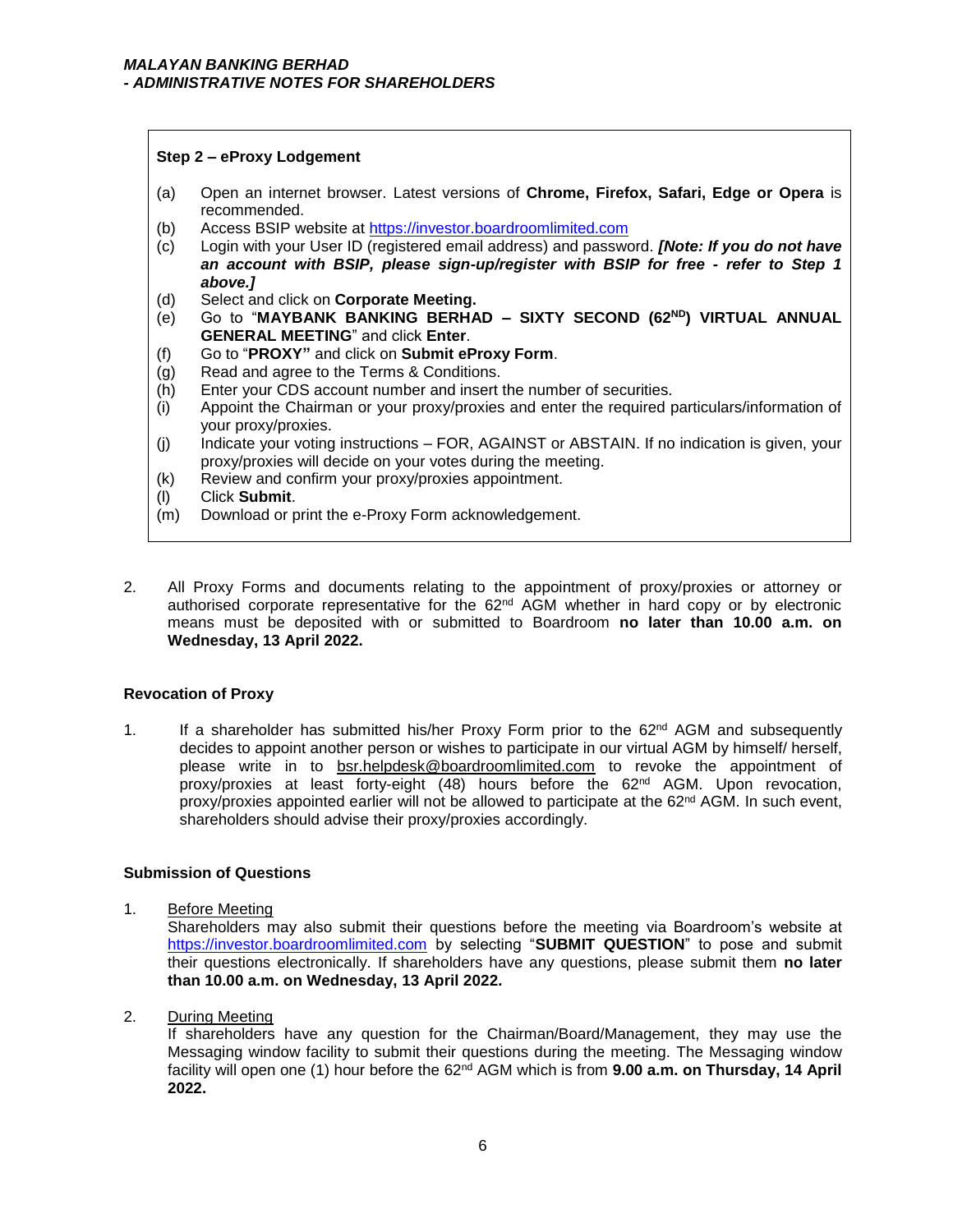## **Step 2 – eProxy Lodgement**

- (a) Open an internet browser. Latest versions of **Chrome, Firefox, Safari, Edge or Opera** is recommended.
- (b) Access BSIP website at https://investor.boardroomlimited.com
- (c) Login with your User ID (registered email address) and password. *[Note: If you do not have an account with BSIP, please sign-up/register with BSIP for free - refer to Step 1 above.]*
- (d) Select and click on **Corporate Meeting.**
- (e) Go to "**MAYBANK BANKING BERHAD – SIXTY SECOND (62ND) VIRTUAL ANNUAL GENERAL MEETING**" and click **Enter**.
- (f) Go to "**PROXY"** and click on **Submit eProxy Form**.
- (g) Read and agree to the Terms & Conditions.
- (h) Enter your CDS account number and insert the number of securities.
- (i) Appoint the Chairman or your proxy/proxies and enter the required particulars/information of your proxy/proxies.
- (j) Indicate your voting instructions FOR, AGAINST or ABSTAIN. If no indication is given, your proxy/proxies will decide on your votes during the meeting.
- (k) Review and confirm your proxy/proxies appointment.
- (l) Click **Submit**.
- (m) Download or print the e-Proxy Form acknowledgement.
- 2. All Proxy Forms and documents relating to the appointment of proxy/proxies or attorney or authorised corporate representative for the  $62<sup>nd</sup>$  AGM whether in hard copy or by electronic means must be deposited with or submitted to Boardroom **no later than 10.00 a.m. on Wednesday, 13 April 2022.**

## **Revocation of Proxy**

1. If a shareholder has submitted his/her Proxy Form prior to the  $62<sup>nd</sup>$  AGM and subsequently decides to appoint another person or wishes to participate in our virtual AGM by himself/ herself, please write in to bsr.helpdesk@boardroomlimited.com to revoke the appointment of proxy/proxies at least forty-eight (48) hours before the  $62<sup>nd</sup>$  AGM. Upon revocation, proxy/proxies appointed earlier will not be allowed to participate at the 62<sup>nd</sup> AGM. In such event, shareholders should advise their proxy/proxies accordingly.

## **Submission of Questions**

1. Before Meeting

Shareholders may also submit their questions before the meeting via Boardroom's website at https://investor.boardroomlimited.com by selecting "**SUBMIT QUESTION**" to pose and submit their questions electronically. If shareholders have any questions, please submit them **no later than 10.00 a.m. on Wednesday, 13 April 2022.** 

2. During Meeting

If shareholders have any question for the Chairman/Board/Management, they may use the Messaging window facility to submit their questions during the meeting. The Messaging window facility will open one (1) hour before the 62nd AGM which is from **9.00 a.m. on Thursday, 14 April 2022.**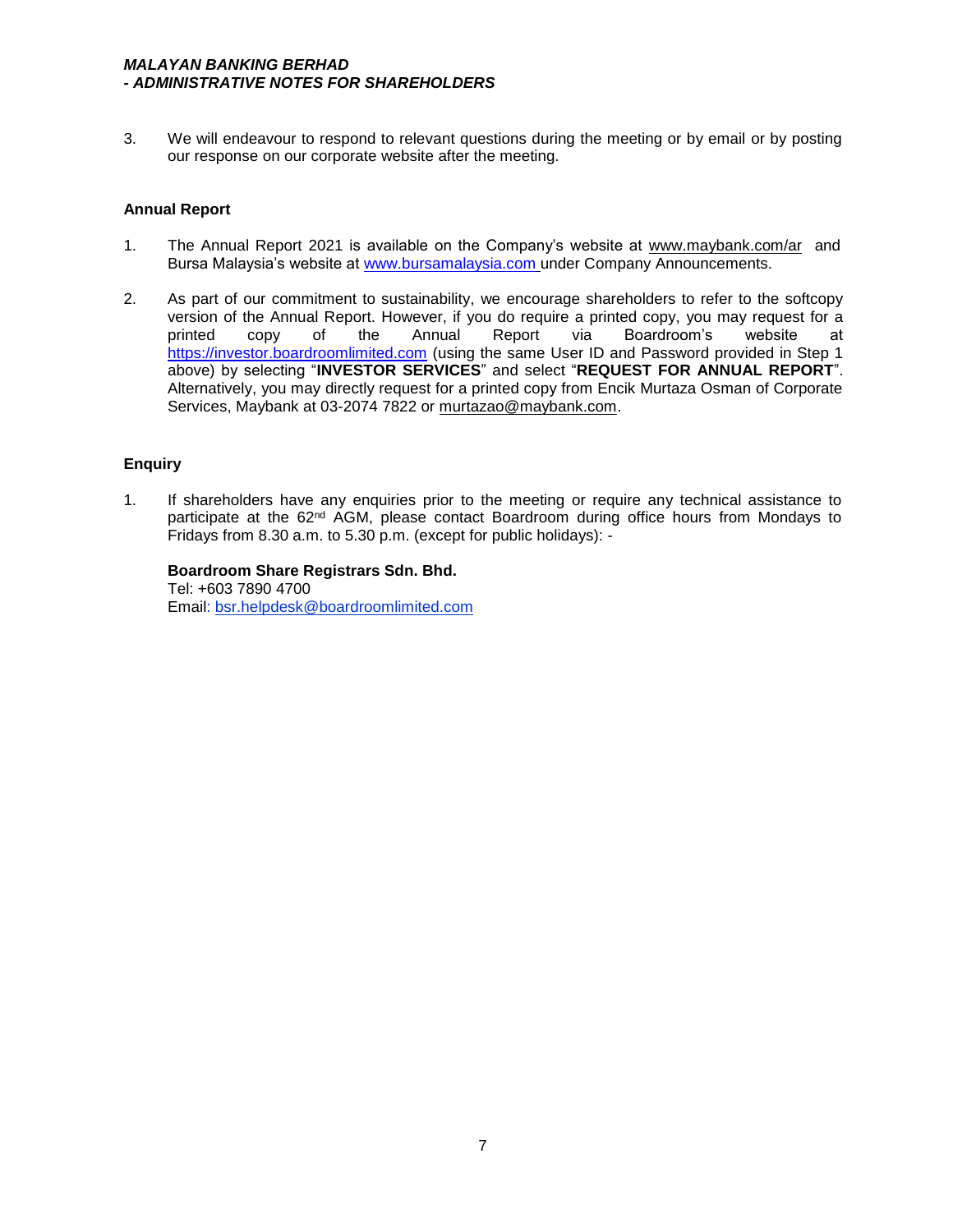## *MALAYAN BANKING BERHAD - ADMINISTRATIVE NOTES FOR SHAREHOLDERS*

3. We will endeavour to respond to relevant questions during the meeting or by email or by posting our response on our corporate website after the meeting.

## **Annual Report**

- 1. The Annual Report 2021 is available on the Company's website at www.maybank.com/ar and Bursa Malaysia's website at www.bursamalaysia.com under Company Announcements.
- 2. As part of our commitment to sustainability, we encourage shareholders to refer to the softcopy version of the Annual Report. However, if you do require a printed copy, you may request for a<br>
printed copy of the Annual Report via Boardroom's website at copy of the Annual Report via Boardroom's website at https://investor.boardroomlimited.com (using the same User ID and Password provided in Step 1 above) by selecting "**INVESTOR SERVICES**" and select "**REQUEST FOR ANNUAL REPORT**". Alternatively, you may directly request for a printed copy from Encik Murtaza Osman of Corporate Services, Maybank at 03-2074 7822 or murtazao@maybank.com.

## **Enquiry**

1. If shareholders have any enquiries prior to the meeting or require any technical assistance to participate at the 62<sup>nd</sup> AGM, please contact Boardroom during office hours from Mondays to Fridays from 8.30 a.m. to 5.30 p.m. (except for public holidays): -

## **Boardroom Share Registrars Sdn. Bhd.**

Tel: +603 7890 4700 Email: bsr.helpdesk@boardroomlimited.com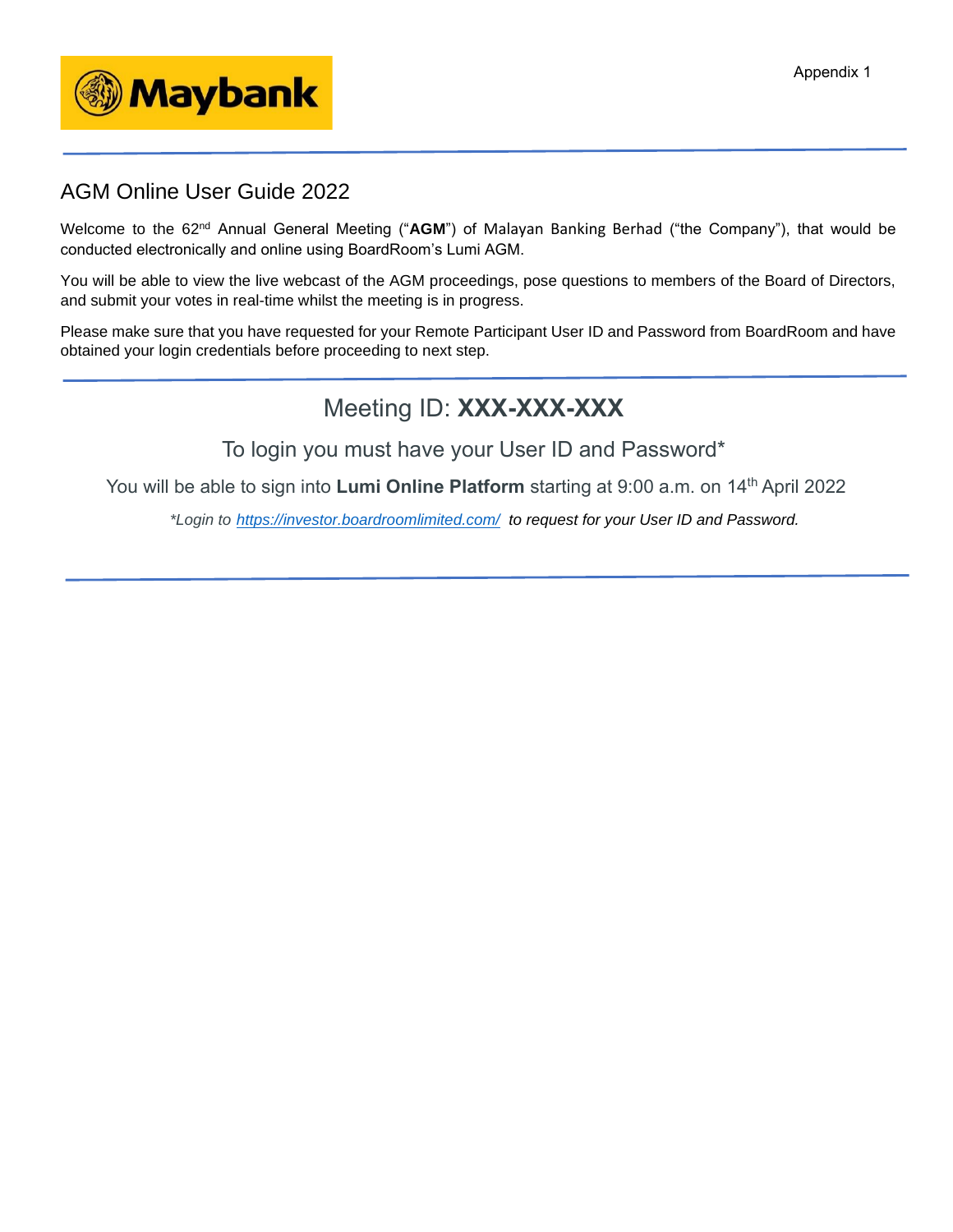

## AGM Online User Guide 2022

Welcome to the 62<sup>nd</sup> Annual General Meeting ("AGM") of Malayan Banking Berhad ("the Company"), that would be conducted electronically and online using BoardRoom's Lumi AGM.

You will be able to view the live webcast of the AGM proceedings, pose questions to members of the Board of Directors, and submit your votes in real-time whilst the meeting is in progress.

Please make sure that you have requested for your Remote Participant User ID and Password from BoardRoom and have obtained your login credentials before proceeding to next step.

# Meeting ID: **XXX-XXX-XXX**

To login you must have your User ID and Password\*

You will be able to sign into Lumi Online Platform starting at 9:00 a.m. on 14<sup>th</sup> April 2022

*\*Login to https://investor.boardroomlimited.com/ to request for your User ID and Password.*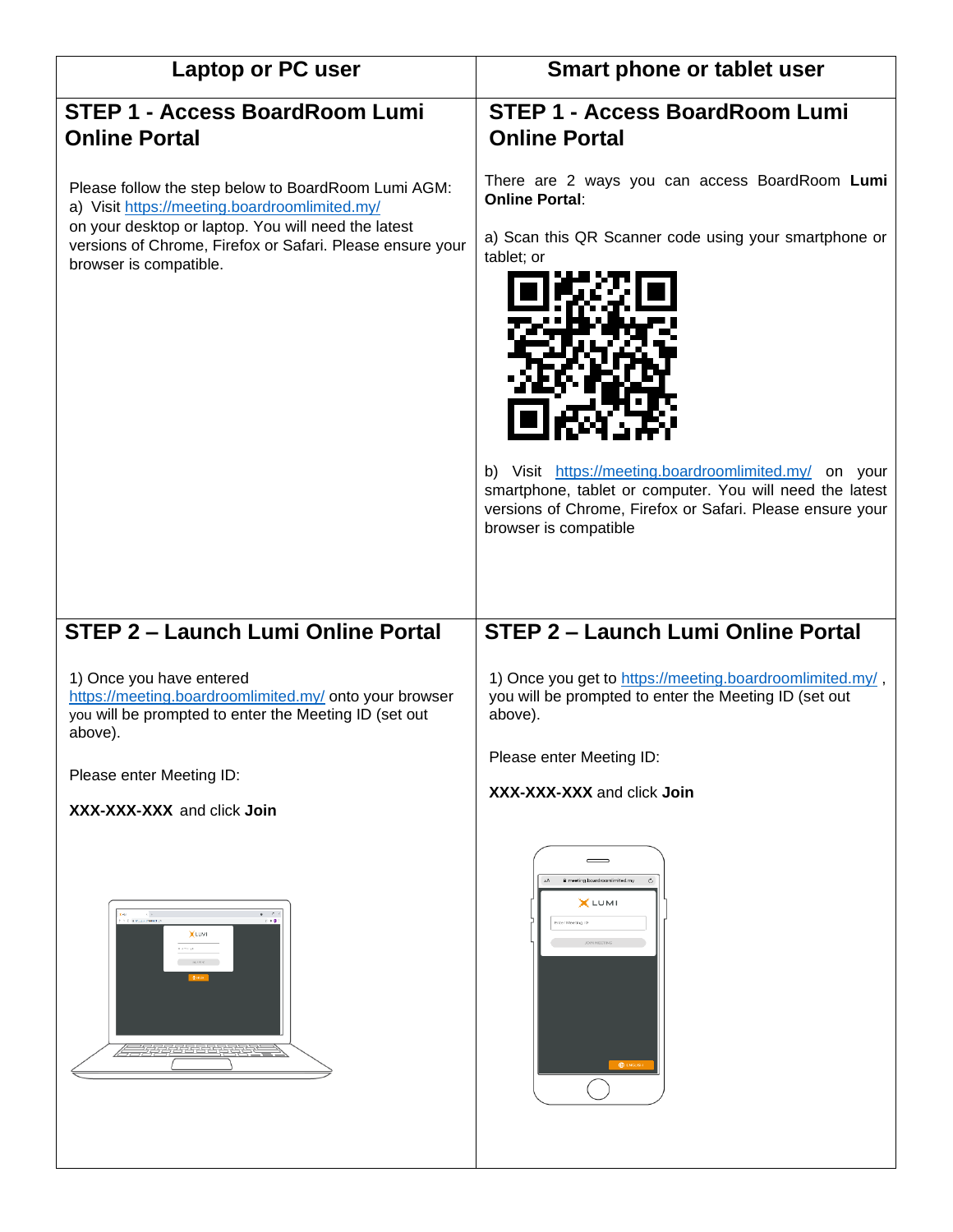| Laptop or PC user                                                                                                                                                                                                                                  | Smart phone or tablet user                                                                                                                                                                                                                                                                                                                                |
|----------------------------------------------------------------------------------------------------------------------------------------------------------------------------------------------------------------------------------------------------|-----------------------------------------------------------------------------------------------------------------------------------------------------------------------------------------------------------------------------------------------------------------------------------------------------------------------------------------------------------|
| <b>STEP 1 - Access BoardRoom Lumi</b><br><b>Online Portal</b>                                                                                                                                                                                      | <b>STEP 1 - Access BoardRoom Lumi</b><br><b>Online Portal</b>                                                                                                                                                                                                                                                                                             |
| Please follow the step below to BoardRoom Lumi AGM:<br>a) Visit https://meeting.boardroomlimited.my/<br>on your desktop or laptop. You will need the latest<br>versions of Chrome, Firefox or Safari. Please ensure your<br>browser is compatible. | There are 2 ways you can access BoardRoom Lumi<br><b>Online Portal:</b><br>a) Scan this QR Scanner code using your smartphone or<br>tablet; or<br>b) Visit https://meeting.boardroomlimited.my/ on your<br>smartphone, tablet or computer. You will need the latest<br>versions of Chrome, Firefox or Safari. Please ensure your<br>browser is compatible |
| <b>STEP 2 - Launch Lumi Online Portal</b>                                                                                                                                                                                                          | <b>STEP 2 - Launch Lumi Online Portal</b>                                                                                                                                                                                                                                                                                                                 |
| 1) Once you have entered<br>https://meeting.boardroomlimited.my/ onto your browser<br>you will be prompted to enter the Meeting ID (set out<br>above).<br>Please enter Meeting ID:                                                                 | 1) Once you get to https://meeting.boardroomlimited.my/,<br>you will be prompted to enter the Meeting ID (set out<br>above).<br>Please enter Meeting ID:<br>XXX-XXX-XXX and click Join                                                                                                                                                                    |
| XXX-XXX-XXX and click Join                                                                                                                                                                                                                         |                                                                                                                                                                                                                                                                                                                                                           |
| $\Phi = -\ell -1$<br><b>COMMUNION</b><br>0.11<br>XLUMI<br>East at<br>$\sim$ 100 km s $^{-1}$<br>777777777777                                                                                                                                       | $\equiv$<br>meeting.boardroomlimited.my<br>XLUMI<br>Inter Meeting ID                                                                                                                                                                                                                                                                                      |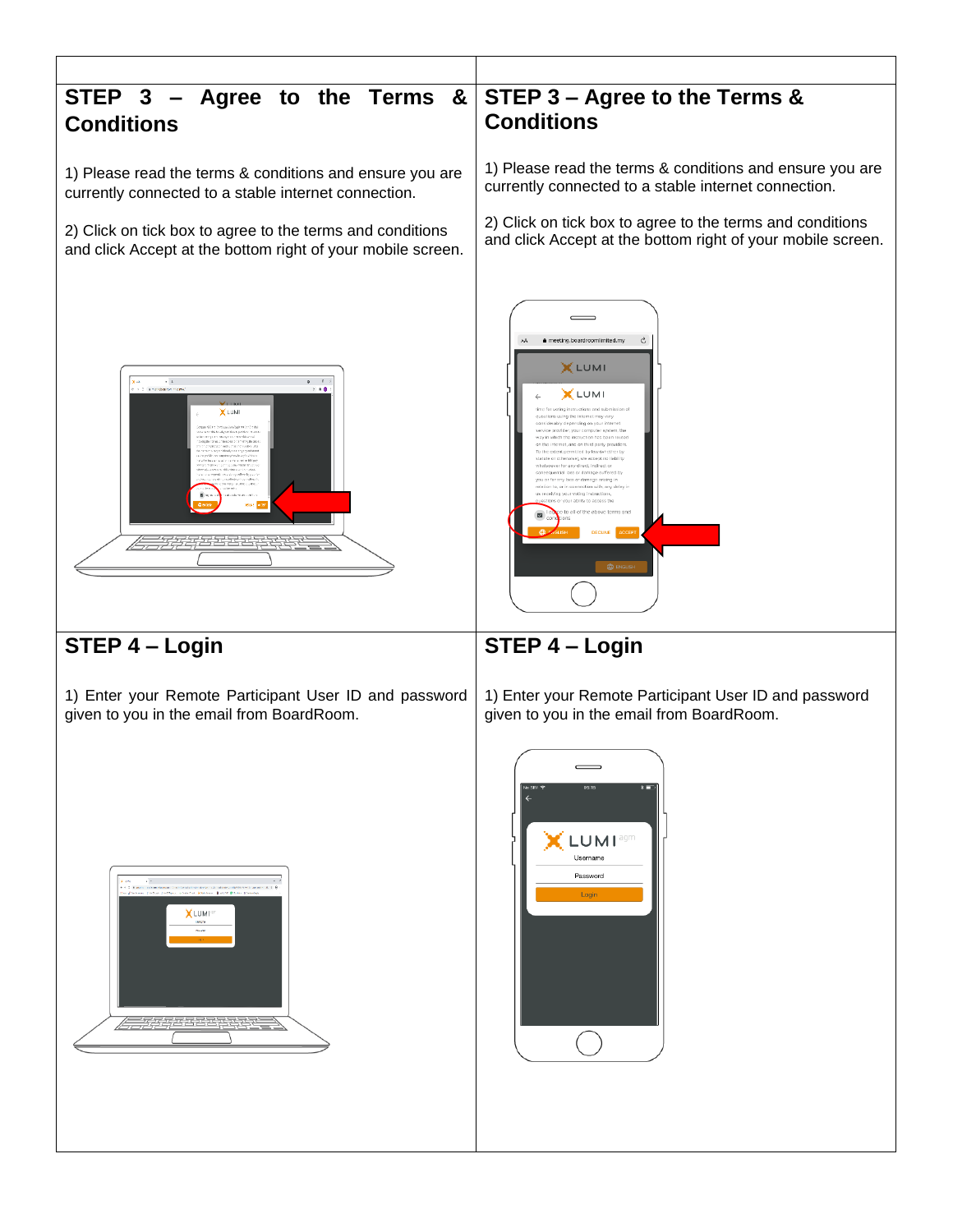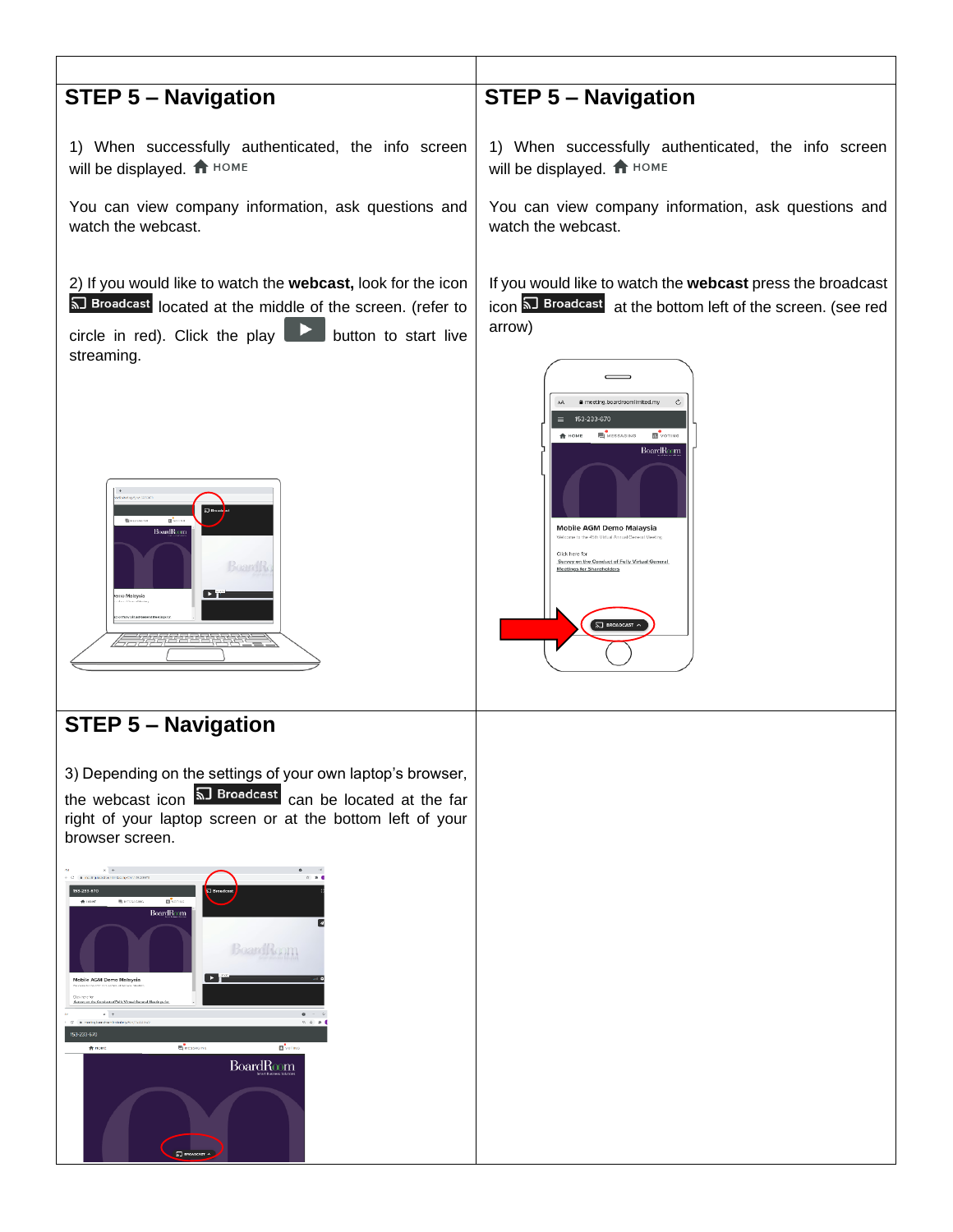

**BoardRoom**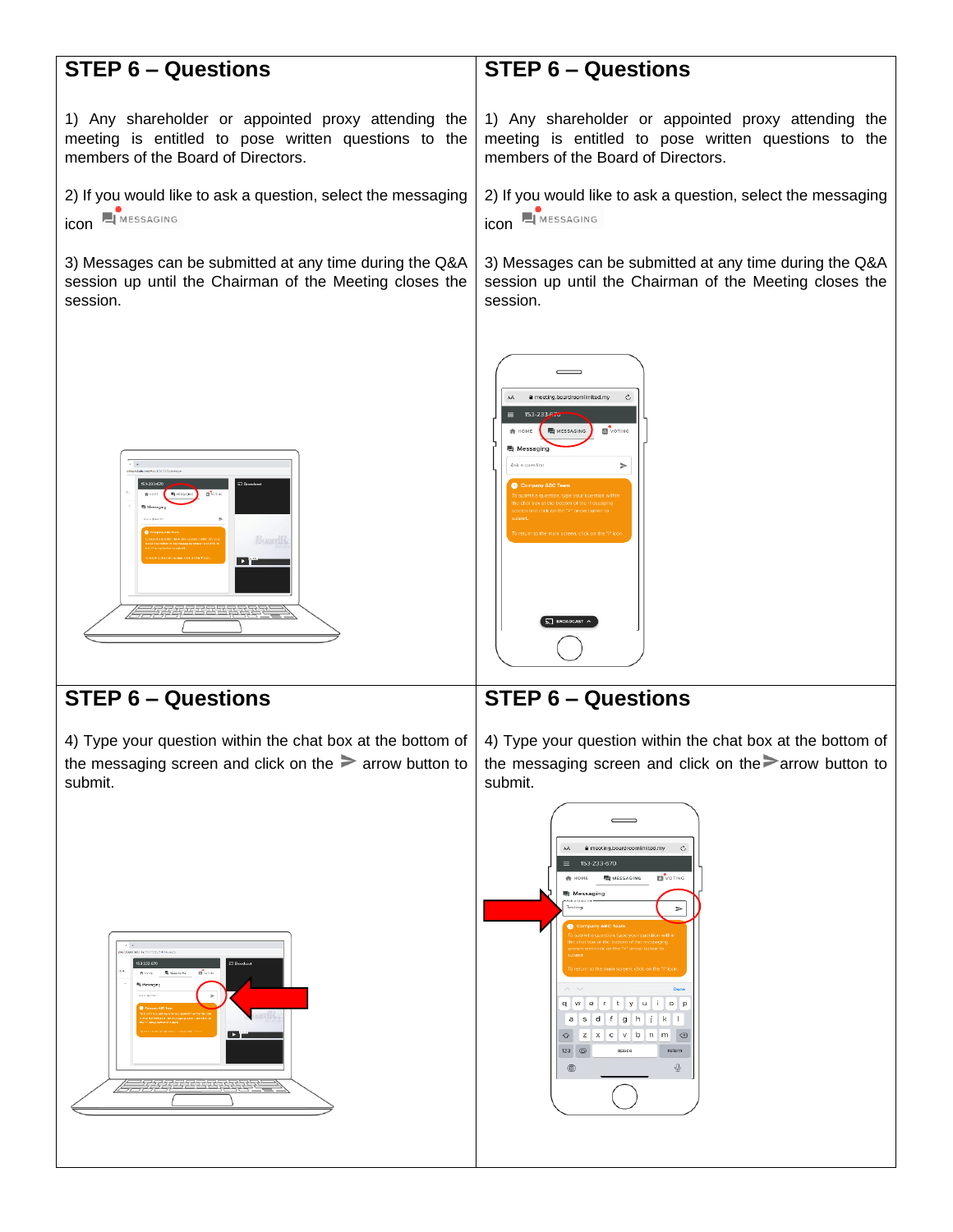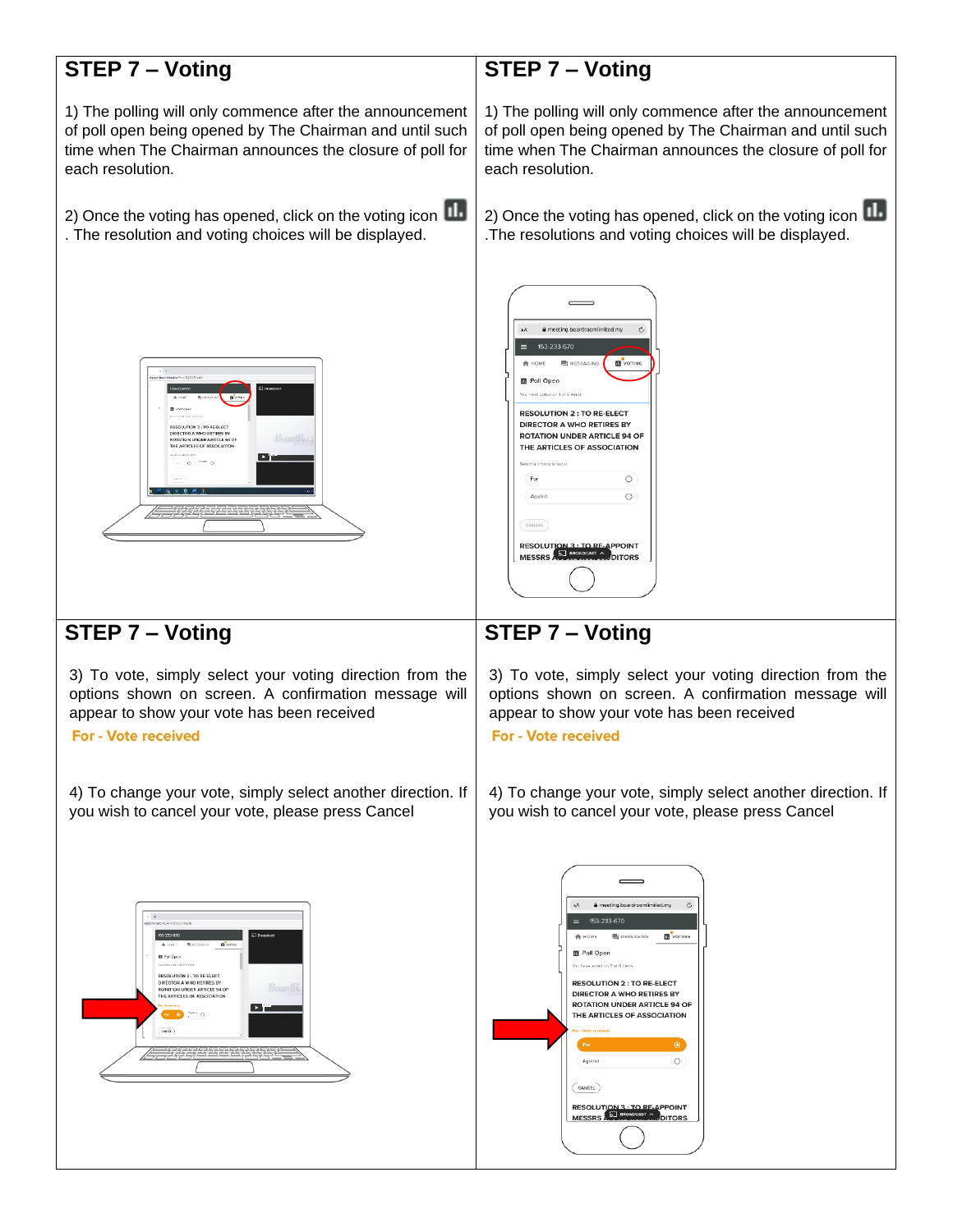